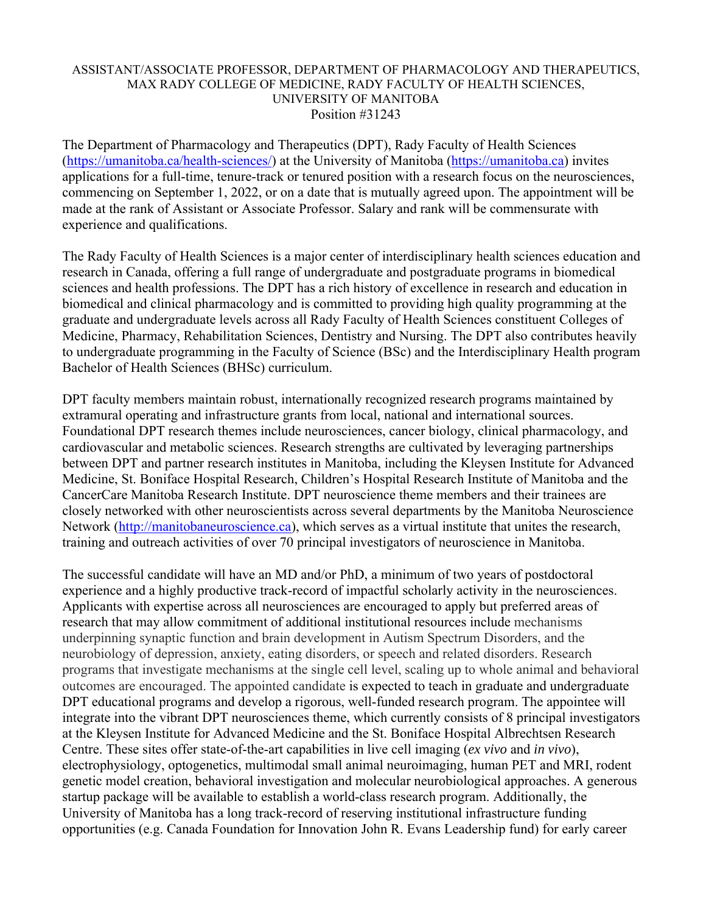## ASSISTANT/ASSOCIATE PROFESSOR, DEPARTMENT OF PHARMACOLOGY AND THERAPEUTICS, MAX RADY COLLEGE OF MEDICINE, RADY FACULTY OF HEALTH SCIENCES, UNIVERSITY OF MANITOBA Position #31243

The Department of Pharmacology and Therapeutics (DPT), Rady Faculty of Health Sciences (https://umanitoba.ca/health-sciences/) at the University of Manitoba (https://umanitoba.ca) invites applications for a full-time, tenure-track or tenured position with a research focus on the neurosciences, commencing on September 1, 2022, or on a date that is mutually agreed upon. The appointment will be made at the rank of Assistant or Associate Professor. Salary and rank will be commensurate with experience and qualifications.

The Rady Faculty of Health Sciences is a major center of interdisciplinary health sciences education and research in Canada, offering a full range of undergraduate and postgraduate programs in biomedical sciences and health professions. The DPT has a rich history of excellence in research and education in biomedical and clinical pharmacology and is committed to providing high quality programming at the graduate and undergraduate levels across all Rady Faculty of Health Sciences constituent Colleges of Medicine, Pharmacy, Rehabilitation Sciences, Dentistry and Nursing. The DPT also contributes heavily to undergraduate programming in the Faculty of Science (BSc) and the Interdisciplinary Health program Bachelor of Health Sciences (BHSc) curriculum.

DPT faculty members maintain robust, internationally recognized research programs maintained by extramural operating and infrastructure grants from local, national and international sources. Foundational DPT research themes include neurosciences, cancer biology, clinical pharmacology, and cardiovascular and metabolic sciences. Research strengths are cultivated by leveraging partnerships between DPT and partner research institutes in Manitoba, including the Kleysen Institute for Advanced Medicine, St. Boniface Hospital Research, Children's Hospital Research Institute of Manitoba and the CancerCare Manitoba Research Institute. DPT neuroscience theme members and their trainees are closely networked with other neuroscientists across several departments by the Manitoba Neuroscience Network (http://manitobaneuroscience.ca), which serves as a virtual institute that unites the research, training and outreach activities of over 70 principal investigators of neuroscience in Manitoba.

The successful candidate will have an MD and/or PhD, a minimum of two years of postdoctoral experience and a highly productive track-record of impactful scholarly activity in the neurosciences. Applicants with expertise across all neurosciences are encouraged to apply but preferred areas of research that may allow commitment of additional institutional resources include mechanisms underpinning synaptic function and brain development in Autism Spectrum Disorders, and the neurobiology of depression, anxiety, eating disorders, or speech and related disorders. Research programs that investigate mechanisms at the single cell level, scaling up to whole animal and behavioral outcomes are encouraged. The appointed candidate is expected to teach in graduate and undergraduate DPT educational programs and develop a rigorous, well-funded research program. The appointee will integrate into the vibrant DPT neurosciences theme, which currently consists of 8 principal investigators at the Kleysen Institute for Advanced Medicine and the St. Boniface Hospital Albrechtsen Research Centre. These sites offer state-of-the-art capabilities in live cell imaging (*ex vivo* and *in vivo*), electrophysiology, optogenetics, multimodal small animal neuroimaging, human PET and MRI, rodent genetic model creation, behavioral investigation and molecular neurobiological approaches. A generous startup package will be available to establish a world-class research program. Additionally, the University of Manitoba has a long track-record of reserving institutional infrastructure funding opportunities (e.g. Canada Foundation for Innovation John R. Evans Leadership fund) for early career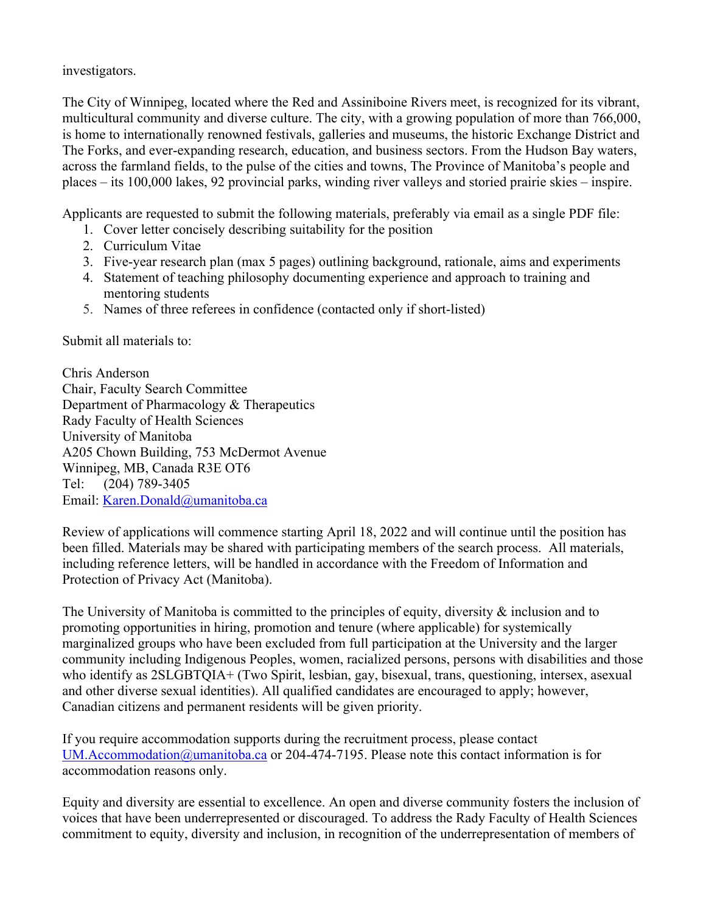investigators.

The City of Winnipeg, located where the Red and Assiniboine Rivers meet, is recognized for its vibrant, multicultural community and diverse culture. The city, with a growing population of more than 766,000, is home to internationally renowned festivals, galleries and museums, the historic Exchange District and The Forks, and ever-expanding research, education, and business sectors. From the Hudson Bay waters, across the farmland fields, to the pulse of the cities and towns, The Province of Manitoba's people and places – its 100,000 lakes, 92 provincial parks, winding river valleys and storied prairie skies – inspire.

Applicants are requested to submit the following materials, preferably via email as a single PDF file:

- 1. Cover letter concisely describing suitability for the position
- 2. Curriculum Vitae
- 3. Five-year research plan (max 5 pages) outlining background, rationale, aims and experiments
- 4. Statement of teaching philosophy documenting experience and approach to training and mentoring students
- 5. Names of three referees in confidence (contacted only if short-listed)

Submit all materials to:

Chris Anderson Chair, Faculty Search Committee Department of Pharmacology & Therapeutics Rady Faculty of Health Sciences University of Manitoba A205 Chown Building, 753 McDermot Avenue Winnipeg, MB, Canada R3E OT6 Tel: (204) 789-3405 Email: Karen.Donald@umanitoba.ca

Review of applications will commence starting April 18, 2022 and will continue until the position has been filled. Materials may be shared with participating members of the search process. All materials, including reference letters, will be handled in accordance with the Freedom of Information and Protection of Privacy Act (Manitoba).

The University of Manitoba is committed to the principles of equity, diversity & inclusion and to promoting opportunities in hiring, promotion and tenure (where applicable) for systemically marginalized groups who have been excluded from full participation at the University and the larger community including Indigenous Peoples, women, racialized persons, persons with disabilities and those who identify as 2SLGBTQIA+ (Two Spirit, lesbian, gay, bisexual, trans, questioning, intersex, asexual and other diverse sexual identities). All qualified candidates are encouraged to apply; however, Canadian citizens and permanent residents will be given priority.

If you require accommodation supports during the recruitment process, please contact UM.Accommodation@umanitoba.ca or 204-474-7195. Please note this contact information is for accommodation reasons only.

Equity and diversity are essential to excellence. An open and diverse community fosters the inclusion of voices that have been underrepresented or discouraged. To address the Rady Faculty of Health Sciences commitment to equity, diversity and inclusion, in recognition of the underrepresentation of members of